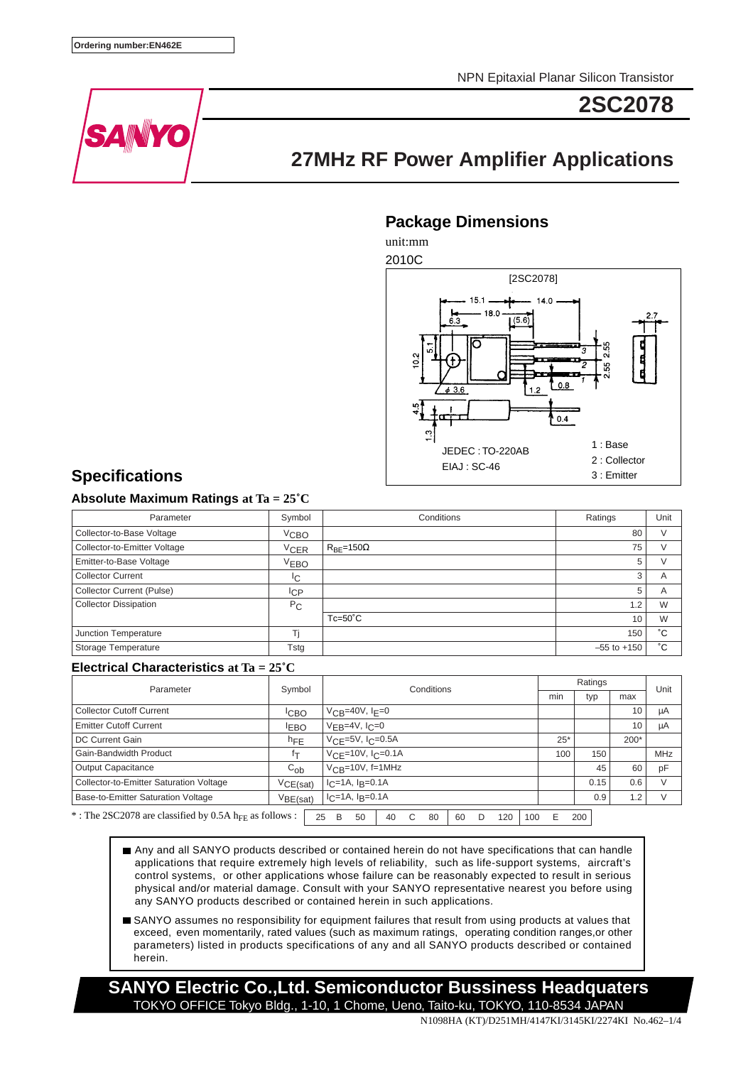NPN Epitaxial Planar Silicon Transistor



# **2SC2078**

## **27MHz RF Power Amplifier Applications**

### **Package Dimensions**

unit:mm



## **Specifications**

### **Absolute Maximum Ratings at Ta = 25˚C**

| Parameter                        | Symbol           | Conditions             | Ratings         | Unit           |
|----------------------------------|------------------|------------------------|-----------------|----------------|
| Collector-to-Base Voltage        | V <sub>CBO</sub> |                        | 80              |                |
| Collector-to-Emitter Voltage     | $V_{CER}$        | $R_{BE}$ =150 $\Omega$ | 75              |                |
| Emitter-to-Base Voltage          | V <sub>EBO</sub> |                        | 5               |                |
| <b>Collector Current</b>         | IС               |                        | 3               | A              |
| <b>Collector Current (Pulse)</b> | lсP              |                        | 5               | $\overline{A}$ |
| <b>Collector Dissipation</b>     | $P_{\rm C}$      |                        | $\overline{2}$  | W              |
|                                  |                  | $Tc=50^{\circ}C$       | 10              | W              |
| Junction Temperature             |                  |                        | 150             | °С             |
| <b>Storage Temperature</b>       | Tstg             |                        | $-55$ to $+150$ | °С             |

### **Electrical Characteristics at Ta = 25˚C**

| Parameter                                                          | Symbol           |    | Conditions                                |    |   |    |    |   | Ratings |      |                 |            | Unit |  |  |
|--------------------------------------------------------------------|------------------|----|-------------------------------------------|----|---|----|----|---|---------|------|-----------------|------------|------|--|--|
|                                                                    |                  |    |                                           |    |   |    |    |   | min     |      | typ             | max        |      |  |  |
| <b>Collector Cutoff Current</b>                                    | <sup>I</sup> CBO |    | $V_{CB} = 40V, I_F = 0$                   |    |   |    |    |   |         |      | 10              | μA         |      |  |  |
| <b>Emitter Cutoff Current</b>                                      | <b>EBO</b>       |    | $V_{EB}$ =4V, $I_C$ =0                    |    |   |    |    |   |         |      | 10              | μA         |      |  |  |
| DC Current Gain                                                    | $h_{\text{FE}}$  |    | $V_{\text{CF}} = 5V, I_{\text{C}} = 0.5A$ |    |   |    |    |   | $25*$   |      | 200*            |            |      |  |  |
| Gain-Bandwidth Product                                             | İт               |    | $VCF = 10V, ICP = 0.1A$                   |    |   |    |    |   | 100     | 150  |                 | <b>MHz</b> |      |  |  |
| Output Capacitance                                                 | $C_{ob}$         |    | $V_{CR}$ =10V, f=1MHz                     |    |   |    |    |   |         | 45   | 60              | pF         |      |  |  |
| Collector-to-Emitter Saturation Voltage                            | VCE(sat)         |    | $I_C = 1A$ , $I_B = 0.1A$                 |    |   |    |    |   |         | 0.15 | 0.6             | V          |      |  |  |
| Base-to-Emitter Saturation Voltage                                 | VBE(sat)         |    | $I_C = 1A$ , $I_R = 0.1A$                 |    |   |    |    |   |         | 0.9  | $\overline{.2}$ |            |      |  |  |
| *: The 2SC2078 are classified by 0.5A h <sub>FF</sub> as follows : |                  | 25 | 50<br>B                                   | 40 | C | 80 | 60 | D | 120     | 100  | F               |            | 200  |  |  |

Any and all SANYO products described or contained herein do not have specifications that can handle applications that require extremely high levels of reliability, such as life-support systems, aircraft's control systems, or other applications whose failure can be reasonably expected to result in serious physical and/or material damage. Consult with your SANYO representative nearest you before using any SANYO products described or contained herein in such applications.

SANYO assumes no responsibility for equipment failures that result from using products at values that exceed, even momentarily, rated values (such as maximum ratings, operating condition ranges,or other parameters) listed in products specifications of any and all SANYO products described or contained herein.

**SANYO Electric Co.,Ltd. Semiconductor Bussiness Headquaters** TOKYO OFFICE Tokyo Bldg., 1-10, 1 Chome, Ueno, Taito-ku, TOKYO, 110-8534 JAPAN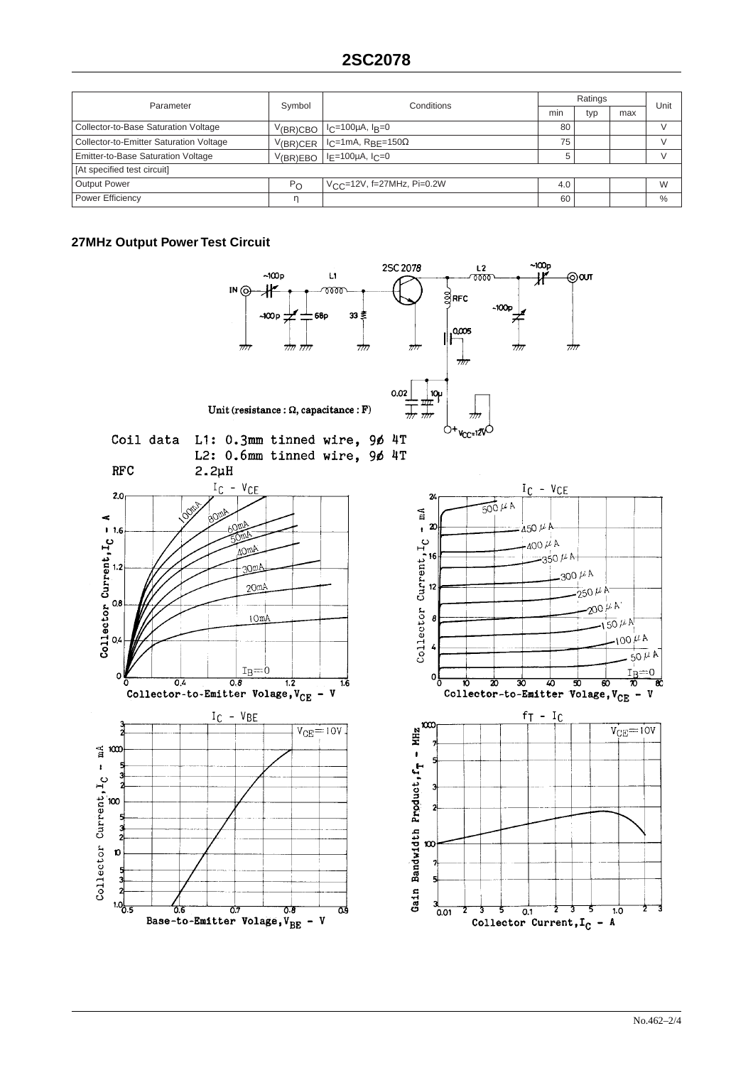| Parameter                               | Symbol       | Conditions                                 |     | Ratings |     |      |  |  |  |
|-----------------------------------------|--------------|--------------------------------------------|-----|---------|-----|------|--|--|--|
|                                         |              |                                            | min | typ     | max | Unit |  |  |  |
| Collector-to-Base Saturation Voltage    | $V$ (BR)CBO  | l I <sub>C</sub> =100µA, I <sub>B</sub> =0 | 80  |         |     |      |  |  |  |
| Collector-to-Emitter Saturation Voltage | $V$ (BR)CER  | $ I_C=1$ mA, R <sub>BE</sub> =150 $\Omega$ | 75  |         |     |      |  |  |  |
| Emitter-to-Base Saturation Voltage      | V(BR)EBO     | $ I_F=100\mu A, I_C=0$                     | 5   |         |     |      |  |  |  |
| [At specified test circuit]             |              |                                            |     |         |     |      |  |  |  |
| <b>Output Power</b>                     | $P_{\Omega}$ | $V_{C}$ c=12V, f=27MHz, Pi=0.2W            | 4.0 |         |     | W    |  |  |  |
| <b>Power Efficiency</b>                 | η            |                                            | 60  |         |     | $\%$ |  |  |  |

### **27MHz Output Power Test Circuit**